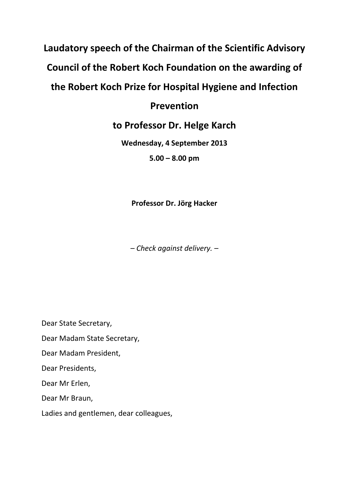## **Laudatory speech of the Chairman of the Scientific Advisory Council of the Robert Koch Foundation on the awarding of the Robert Koch Prize for Hospital Hygiene and Infection**

## **Prevention**

## **to Professor Dr. Helge Karch**

**Wednesday, 4 September 2013 5.00 – 8.00 pm**

**Professor Dr. Jörg Hacker**

*– Check against delivery. –*

Dear State Secretary,

Dear Madam State Secretary,

Dear Madam President,

Dear Presidents,

Dear Mr Erlen,

Dear Mr Braun,

Ladies and gentlemen, dear colleagues,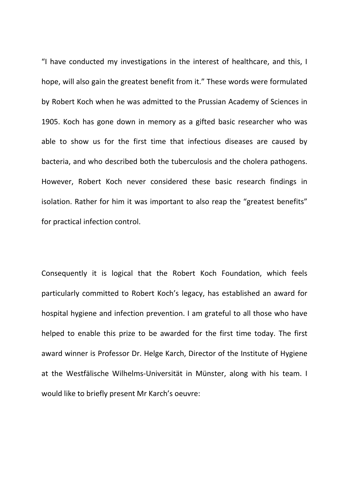"I have conducted my investigations in the interest of healthcare, and this, I hope, will also gain the greatest benefit from it." These words were formulated by Robert Koch when he was admitted to the Prussian Academy of Sciences in 1905. Koch has gone down in memory as a gifted basic researcher who was able to show us for the first time that infectious diseases are caused by bacteria, and who described both the tuberculosis and the cholera pathogens. However, Robert Koch never considered these basic research findings in isolation. Rather for him it was important to also reap the "greatest benefits" for practical infection control.

Consequently it is logical that the Robert Koch Foundation, which feels particularly committed to Robert Koch's legacy, has established an award for hospital hygiene and infection prevention. I am grateful to all those who have helped to enable this prize to be awarded for the first time today. The first award winner is Professor Dr. Helge Karch, Director of the Institute of Hygiene at the Westfälische Wilhelms-Universität in Münster, along with his team. I would like to briefly present Mr Karch's oeuvre: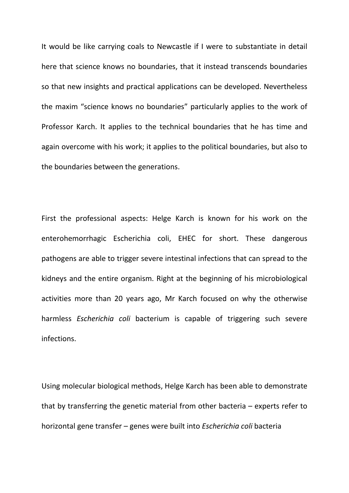It would be like carrying coals to Newcastle if I were to substantiate in detail here that science knows no boundaries, that it instead transcends boundaries so that new insights and practical applications can be developed. Nevertheless the maxim "science knows no boundaries" particularly applies to the work of Professor Karch. It applies to the technical boundaries that he has time and again overcome with his work; it applies to the political boundaries, but also to the boundaries between the generations.

First the professional aspects: Helge Karch is known for his work on the enterohemorrhagic Escherichia coli, EHEC for short. These dangerous pathogens are able to trigger severe intestinal infections that can spread to the kidneys and the entire organism. Right at the beginning of his microbiological activities more than 20 years ago, Mr Karch focused on why the otherwise harmless *Escherichia coli* bacterium is capable of triggering such severe infections.

Using molecular biological methods, Helge Karch has been able to demonstrate that by transferring the genetic material from other bacteria – experts refer to horizontal gene transfer – genes were built into *Escherichia coli* bacteria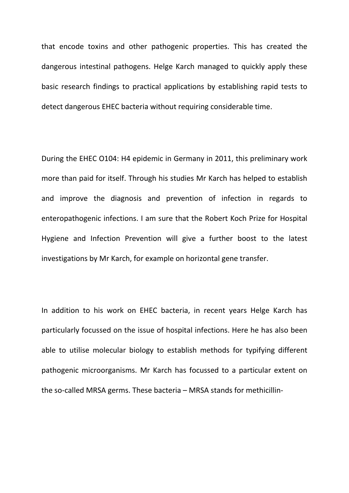that encode toxins and other pathogenic properties. This has created the dangerous intestinal pathogens. Helge Karch managed to quickly apply these basic research findings to practical applications by establishing rapid tests to detect dangerous EHEC bacteria without requiring considerable time.

During the EHEC O104: H4 epidemic in Germany in 2011, this preliminary work more than paid for itself. Through his studies Mr Karch has helped to establish and improve the diagnosis and prevention of infection in regards to enteropathogenic infections. I am sure that the Robert Koch Prize for Hospital Hygiene and Infection Prevention will give a further boost to the latest investigations by Mr Karch, for example on horizontal gene transfer.

In addition to his work on EHEC bacteria, in recent years Helge Karch has particularly focussed on the issue of hospital infections. Here he has also been able to utilise molecular biology to establish methods for typifying different pathogenic microorganisms. Mr Karch has focussed to a particular extent on the so-called MRSA germs. These bacteria – MRSA stands for methicillin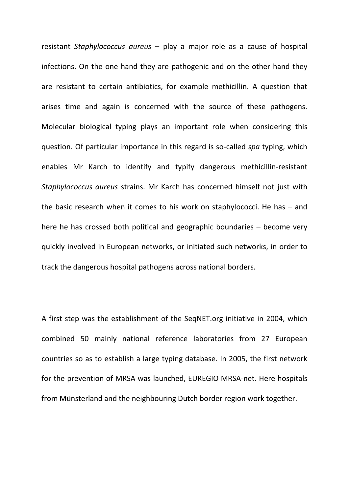resistant *Staphylococcus aureus* – play a major role as a cause of hospital infections. On the one hand they are pathogenic and on the other hand they are resistant to certain antibiotics, for example methicillin. A question that arises time and again is concerned with the source of these pathogens. Molecular biological typing plays an important role when considering this question. Of particular importance in this regard is so-called *spa* typing, which enables Mr Karch to identify and typify dangerous methicillin-resistant *Staphylococcus aureus* strains. Mr Karch has concerned himself not just with the basic research when it comes to his work on staphylococci. He has – and here he has crossed both political and geographic boundaries – become very quickly involved in European networks, or initiated such networks, in order to track the dangerous hospital pathogens across national borders.

A first step was the establishment of the SeqNET.org initiative in 2004, which combined 50 mainly national reference laboratories from 27 European countries so as to establish a large typing database. In 2005, the first network for the prevention of MRSA was launched, EUREGIO MRSA-net. Here hospitals from Münsterland and the neighbouring Dutch border region work together.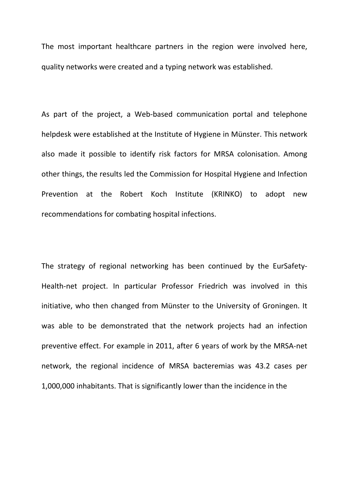The most important healthcare partners in the region were involved here, quality networks were created and a typing network was established.

As part of the project, a Web-based communication portal and telephone helpdesk were established at the Institute of Hygiene in Münster. This network also made it possible to identify risk factors for MRSA colonisation. Among other things, the results led the Commission for Hospital Hygiene and Infection Prevention at the Robert Koch Institute (KRINKO) to adopt new recommendations for combating hospital infections.

The strategy of regional networking has been continued by the EurSafety-Health-net project. In particular Professor Friedrich was involved in this initiative, who then changed from Münster to the University of Groningen. It was able to be demonstrated that the network projects had an infection preventive effect. For example in 2011, after 6 years of work by the MRSA-net network, the regional incidence of MRSA bacteremias was 43.2 cases per 1,000,000 inhabitants. That is significantly lower than the incidence in the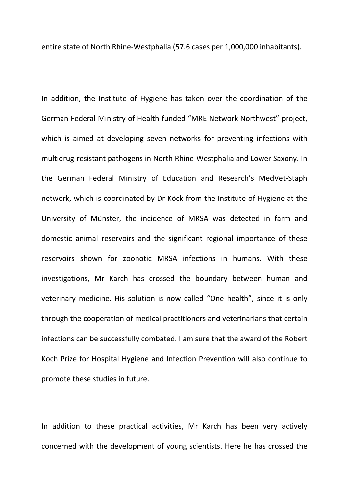entire state of North Rhine-Westphalia (57.6 cases per 1,000,000 inhabitants).

In addition, the Institute of Hygiene has taken over the coordination of the German Federal Ministry of Health-funded "MRE Network Northwest" project, which is aimed at developing seven networks for preventing infections with multidrug-resistant pathogens in North Rhine-Westphalia and Lower Saxony. In the German Federal Ministry of Education and Research's MedVet-Staph network, which is coordinated by Dr Köck from the Institute of Hygiene at the University of Münster, the incidence of MRSA was detected in farm and domestic animal reservoirs and the significant regional importance of these reservoirs shown for zoonotic MRSA infections in humans. With these investigations, Mr Karch has crossed the boundary between human and veterinary medicine. His solution is now called "One health", since it is only through the cooperation of medical practitioners and veterinarians that certain infections can be successfully combated. I am sure that the award of the Robert Koch Prize for Hospital Hygiene and Infection Prevention will also continue to promote these studies in future.

In addition to these practical activities, Mr Karch has been very actively concerned with the development of young scientists. Here he has crossed the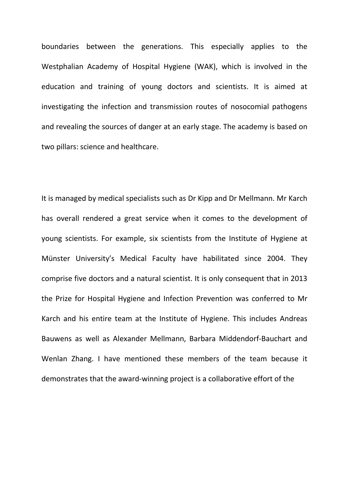boundaries between the generations. This especially applies to the Westphalian Academy of Hospital Hygiene (WAK), which is involved in the education and training of young doctors and scientists. It is aimed at investigating the infection and transmission routes of nosocomial pathogens and revealing the sources of danger at an early stage. The academy is based on two pillars: science and healthcare.

It is managed by medical specialists such as Dr Kipp and Dr Mellmann. Mr Karch has overall rendered a great service when it comes to the development of young scientists. For example, six scientists from the Institute of Hygiene at Münster University's Medical Faculty have habilitated since 2004. They comprise five doctors and a natural scientist. It is only consequent that in 2013 the Prize for Hospital Hygiene and Infection Prevention was conferred to Mr Karch and his entire team at the Institute of Hygiene. This includes Andreas Bauwens as well as Alexander Mellmann, Barbara Middendorf-Bauchart and Wenlan Zhang. I have mentioned these members of the team because it demonstrates that the award-winning project is a collaborative effort of the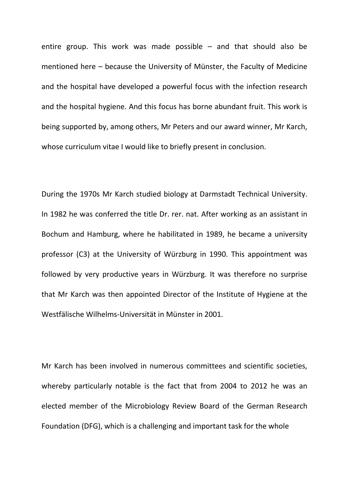entire group. This work was made possible  $-$  and that should also be mentioned here – because the University of Münster, the Faculty of Medicine and the hospital have developed a powerful focus with the infection research and the hospital hygiene. And this focus has borne abundant fruit. This work is being supported by, among others, Mr Peters and our award winner, Mr Karch, whose curriculum vitae I would like to briefly present in conclusion.

During the 1970s Mr Karch studied biology at Darmstadt Technical University. In 1982 he was conferred the title Dr. rer. nat. After working as an assistant in Bochum and Hamburg, where he habilitated in 1989, he became a university professor (C3) at the University of Würzburg in 1990. This appointment was followed by very productive years in Würzburg. It was therefore no surprise that Mr Karch was then appointed Director of the Institute of Hygiene at the Westfälische Wilhelms-Universität in Münster in 2001.

Mr Karch has been involved in numerous committees and scientific societies, whereby particularly notable is the fact that from 2004 to 2012 he was an elected member of the Microbiology Review Board of the German Research Foundation (DFG), which is a challenging and important task for the whole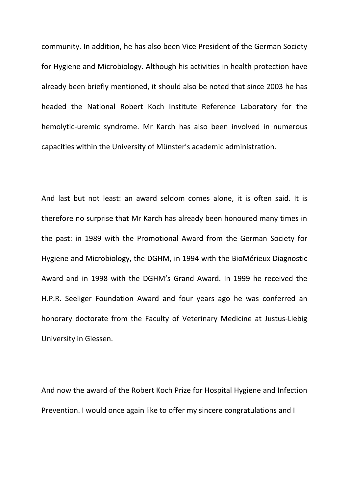community. In addition, he has also been Vice President of the German Society for Hygiene and Microbiology. Although his activities in health protection have already been briefly mentioned, it should also be noted that since 2003 he has headed the National Robert Koch Institute Reference Laboratory for the hemolytic-uremic syndrome. Mr Karch has also been involved in numerous capacities within the University of Münster's academic administration.

And last but not least: an award seldom comes alone, it is often said. It is therefore no surprise that Mr Karch has already been honoured many times in the past: in 1989 with the Promotional Award from the German Society for Hygiene and Microbiology, the DGHM, in 1994 with the BioMérieux Diagnostic Award and in 1998 with the DGHM's Grand Award. In 1999 he received the H.P.R. Seeliger Foundation Award and four years ago he was conferred an honorary doctorate from the Faculty of Veterinary Medicine at Justus-Liebig University in Giessen.

And now the award of the Robert Koch Prize for Hospital Hygiene and Infection Prevention. I would once again like to offer my sincere congratulations and I